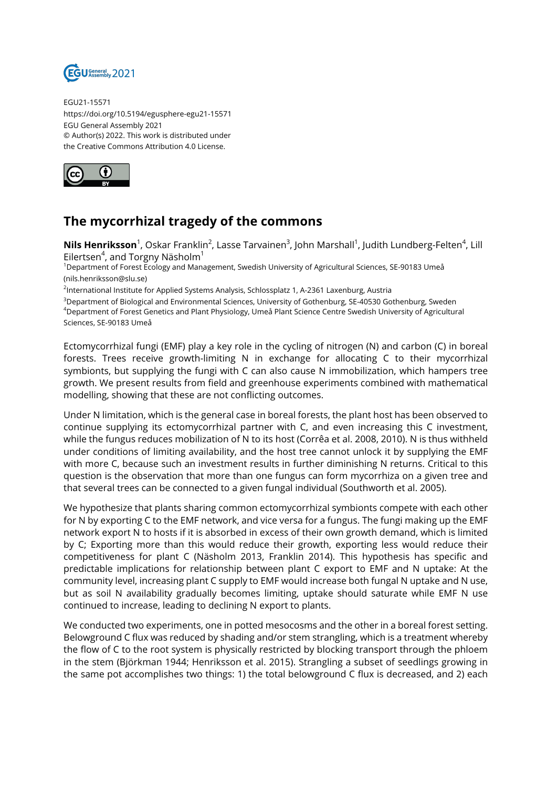

EGU21-15571 https://doi.org/10.5194/egusphere-egu21-15571 EGU General Assembly 2021 © Author(s) 2022. This work is distributed under the Creative Commons Attribution 4.0 License.



## **The mycorrhizal tragedy of the commons**

 $\bm{{\sf Nils}~Henriksson}^1$ , Oskar Franklin<sup>2</sup>, Lasse Tarvainen $^3$ , John Marshall $^1$ , Judith Lundberg-Felten $^4$ , Lill Eilertsen<sup>4</sup>, and Torgny Näsholm $^1$ 

<sup>1</sup>Department of Forest Ecology and Management, Swedish University of Agricultural Sciences, SE-90183 Umeå (nils.henriksson@slu.se)

<sup>2</sup>International Institute for Applied Systems Analysis, Schlossplatz 1, A-2361 Laxenburg, Austria

<sup>3</sup>Department of Biological and Environmental Sciences, University of Gothenburg, SE-40530 Gothenburg, Sweden <sup>4</sup>Department of Forest Genetics and Plant Physiology, Umeå Plant Science Centre Swedish University of Agricultural Sciences, SE-90183 Umeå

Ectomycorrhizal fungi (EMF) play a key role in the cycling of nitrogen (N) and carbon (C) in boreal forests. Trees receive growth-limiting N in exchange for allocating C to their mycorrhizal symbionts, but supplying the fungi with C can also cause N immobilization, which hampers tree growth. We present results from field and greenhouse experiments combined with mathematical modelling, showing that these are not conflicting outcomes.

Under N limitation, which is the general case in boreal forests, the plant host has been observed to continue supplying its ectomycorrhizal partner with C, and even increasing this C investment, while the fungus reduces mobilization of N to its host (Corrêa et al. 2008, 2010). N is thus withheld under conditions of limiting availability, and the host tree cannot unlock it by supplying the EMF with more C, because such an investment results in further diminishing N returns. Critical to this question is the observation that more than one fungus can form mycorrhiza on a given tree and that several trees can be connected to a given fungal individual (Southworth et al. 2005).

We hypothesize that plants sharing common ectomycorrhizal symbionts compete with each other for N by exporting C to the EMF network, and vice versa for a fungus. The fungi making up the EMF network export N to hosts if it is absorbed in excess of their own growth demand, which is limited by C; Exporting more than this would reduce their growth, exporting less would reduce their competitiveness for plant C (Näsholm 2013, Franklin 2014). This hypothesis has specific and predictable implications for relationship between plant C export to EMF and N uptake: At the community level, increasing plant C supply to EMF would increase both fungal N uptake and N use, but as soil N availability gradually becomes limiting, uptake should saturate while EMF N use continued to increase, leading to declining N export to plants.

We conducted two experiments, one in potted mesocosms and the other in a boreal forest setting. Belowground C flux was reduced by shading and/or stem strangling, which is a treatment whereby the flow of C to the root system is physically restricted by blocking transport through the phloem in the stem (Björkman 1944; Henriksson et al. 2015). Strangling a subset of seedlings growing in the same pot accomplishes two things: 1) the total belowground C flux is decreased, and 2) each